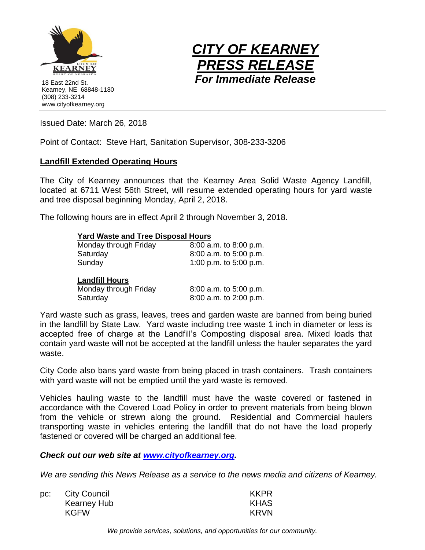

18 East 22nd St. Kearney, NE 68848-1180 (308) 233-3214 www.cityofkearney.org



Issued Date: March 26, 2018

Point of Contact: Steve Hart, Sanitation Supervisor, 308-233-3206

## **Landfill Extended Operating Hours**

The City of Kearney announces that the Kearney Area Solid Waste Agency Landfill, located at 6711 West 56th Street, will resume extended operating hours for yard waste and tree disposal beginning Monday, April 2, 2018.

The following hours are in effect April 2 through November 3, 2018.

## **Yard Waste and Tree Disposal Hours**

| Monday through Friday | 8:00 a.m. to 8:00 p.m.   |
|-----------------------|--------------------------|
| Saturday              | 8:00 a.m. to 5:00 p.m.   |
| Sunday                | 1:00 p.m. to $5:00$ p.m. |
| <b>Landfill Hours</b> |                          |

| Monday through Friday | 8:00 a.m. to 5:00 p.m. |
|-----------------------|------------------------|
| Saturday              | 8:00 a.m. to 2:00 p.m. |

Yard waste such as grass, leaves, trees and garden waste are banned from being buried in the landfill by State Law. Yard waste including tree waste 1 inch in diameter or less is accepted free of charge at the Landfill's Composting disposal area. Mixed loads that contain yard waste will not be accepted at the landfill unless the hauler separates the yard waste.

City Code also bans yard waste from being placed in trash containers. Trash containers with yard waste will not be emptied until the yard waste is removed.

Vehicles hauling waste to the landfill must have the waste covered or fastened in accordance with the Covered Load Policy in order to prevent materials from being blown from the vehicle or strewn along the ground. Residential and Commercial haulers transporting waste in vehicles entering the landfill that do not have the load properly fastened or covered will be charged an additional fee.

*Check out our web site at [www.cityofkearney.org.](http://www.cityofkearney.org/)*

*We are sending this News Release as a service to the news media and citizens of Kearney.*

| pc: | City Council | <b>KKPR</b> |
|-----|--------------|-------------|
|     | Kearney Hub  | <b>KHAS</b> |
|     | <b>KGFW</b>  | KRVN        |

*We provide services, solutions, and opportunities for our community.*